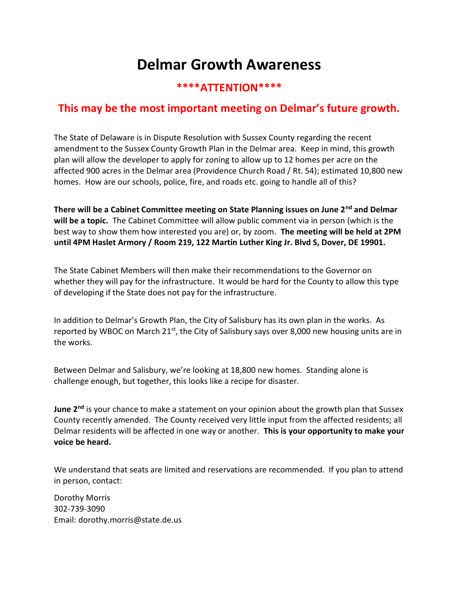## Delmar Growth Awareness

## \*\*\*\*ATTENTION\*\*\*\*

## This may be the most important meeting on Delmar's future growth.

The State of Delaware is in Dispute Resolution with Sussex County regarding the recent amendment to the Sussex County Growth Plan in the Delmar area. Keep in mind, this growth plan will allow the developer to apply for zoning to allow up to 12 homes per acre on the affected 900 acres in the Delmar area (Providence Church Road / Rt. 54); estimated 10,800 new homes. How are our schools, police, fire, and roads etc. going to handle all of this?

There will be a Cabinet Committee meeting on State Planning issues on June 2<sup>nd</sup> and Delmar will be a topic. The Cabinet Committee will allow public comment via in person (which is the best way to show them how interested you are) or, by zoom. The meeting will be held at 2PM until 4PM Haslet Armory / Room 219, 122 Martin Luther King Jr. Blvd S, Dover, DE 19901.

The State Cabinet Members will then make their recommendations to the Governor on whether they will pay for the infrastructure. It would be hard for the County to allow this type of developing if the State does not pay for the infrastructure.

In addition to Delmar's Growth Plan, the City of Salisbury has its own plan in the works. As reported by WBOC on March 21<sup>st</sup>, the City of Salisbury says over 8,000 new housing units are in the works.

Between Delmar and Salisbury, we're looking at 18,800 new homes. Standing alone is challenge enough, but together, this looks like a recipe for disaster.

June 2<sup>nd</sup> is your chance to make a statement on your opinion about the growth plan that Sussex County recently amended. The County received very little input from the affected residents; all Delmar residents will be affected in one way or another. This is your opportunity to make your voice be heard.

We understand that seats are limited and reservations are recommended. If you plan to attend in person, contact:

Dorothy Morris 302-739-3090 Email: dorothy.morris@state.de.us